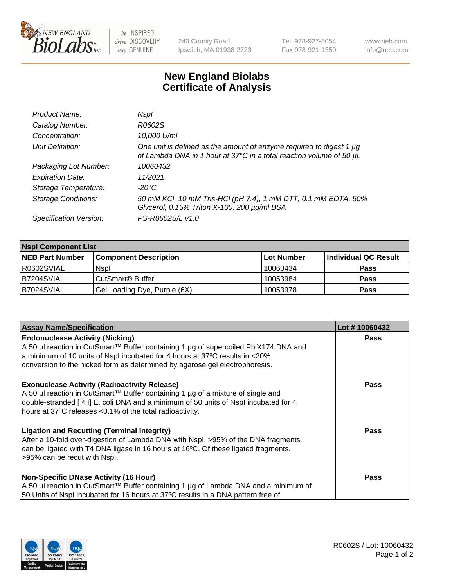

 $be$  INSPIRED drive DISCOVERY stay GENUINE

240 County Road Ipswich, MA 01938-2723 Tel 978-927-5054 Fax 978-921-1350 www.neb.com info@neb.com

## **New England Biolabs Certificate of Analysis**

| Product Name:              | Nspl                                                                                                                                        |
|----------------------------|---------------------------------------------------------------------------------------------------------------------------------------------|
| Catalog Number:            | R0602S                                                                                                                                      |
| Concentration:             | 10,000 U/ml                                                                                                                                 |
| Unit Definition:           | One unit is defined as the amount of enzyme required to digest 1 µg<br>of Lambda DNA in 1 hour at 37°C in a total reaction volume of 50 µl. |
| Packaging Lot Number:      | 10060432                                                                                                                                    |
| <b>Expiration Date:</b>    | 11/2021                                                                                                                                     |
| Storage Temperature:       | -20°C                                                                                                                                       |
| <b>Storage Conditions:</b> | 50 mM KCl, 10 mM Tris-HCl (pH 7.4), 1 mM DTT, 0.1 mM EDTA, 50%<br>Glycerol, 0.15% Triton X-100, 200 µg/ml BSA                               |
| Specification Version:     | PS-R0602S/L v1.0                                                                                                                            |

| <b>Nspl Component List</b> |                              |            |                      |  |  |
|----------------------------|------------------------------|------------|----------------------|--|--|
| <b>NEB Part Number</b>     | <b>Component Description</b> | Lot Number | Individual QC Result |  |  |
| I R0602SVIAL               | <b>Nspl</b>                  | 10060434   | <b>Pass</b>          |  |  |
| B7204SVIAL                 | CutSmart <sup>®</sup> Buffer | 10053984   | <b>Pass</b>          |  |  |
| B7024SVIAL                 | Gel Loading Dye, Purple (6X) | 10053978   | <b>Pass</b>          |  |  |

| <b>Assay Name/Specification</b>                                                                                                                                                                                                                                                          | Lot #10060432 |
|------------------------------------------------------------------------------------------------------------------------------------------------------------------------------------------------------------------------------------------------------------------------------------------|---------------|
| <b>Endonuclease Activity (Nicking)</b><br>  A 50 µl reaction in CutSmart™ Buffer containing 1 µg of supercoiled PhiX174 DNA and                                                                                                                                                          | <b>Pass</b>   |
| a minimum of 10 units of Nspl incubated for 4 hours at 37°C results in <20%<br>conversion to the nicked form as determined by agarose gel electrophoresis.                                                                                                                               |               |
| <b>Exonuclease Activity (Radioactivity Release)</b><br>A 50 µl reaction in CutSmart™ Buffer containing 1 µg of a mixture of single and<br>double-stranded [3H] E. coli DNA and a minimum of 50 units of Nspl incubated for 4<br>hours at 37°C releases <0.1% of the total radioactivity. | <b>Pass</b>   |
| Ligation and Recutting (Terminal Integrity)<br>After a 10-fold over-digestion of Lambda DNA with Nspl, >95% of the DNA fragments<br>can be ligated with T4 DNA ligase in 16 hours at 16 <sup>o</sup> C. Of these ligated fragments,<br>>95% can be recut with Nspl.                      | Pass          |
| Non-Specific DNase Activity (16 Hour)<br>  A 50 µl reaction in CutSmart™ Buffer containing 1 µg of Lambda DNA and a minimum of<br>50 Units of Nspl incubated for 16 hours at 37°C results in a DNA pattern free of                                                                       | <b>Pass</b>   |